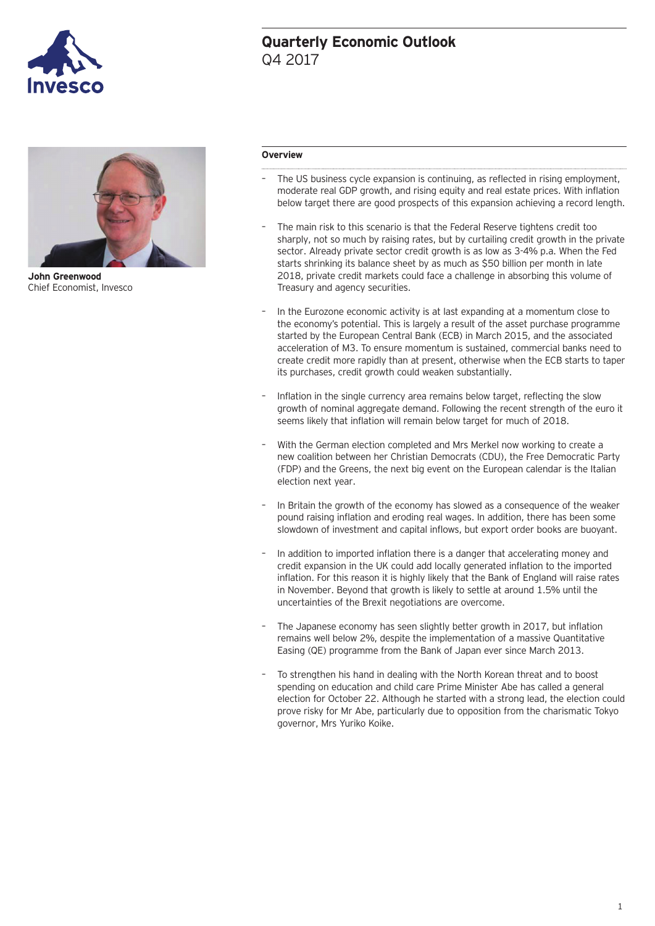

## **Quarterly Economic Outlook** Q4 2017



**John Greenwood** Chief Economist, Invesco

#### **Overview**

- The US business cycle expansion is continuing, as reflected in rising employment, moderate real GDP growth, and rising equity and real estate prices. With inflation below target there are good prospects of this expansion achieving a record length.
- The main risk to this scenario is that the Federal Reserve tightens credit too sharply, not so much by raising rates, but by curtailing credit growth in the private sector. Already private sector credit growth is as low as 3-4% p.a. When the Fed starts shrinking its balance sheet by as much as \$50 billion per month in late 2018, private credit markets could face a challenge in absorbing this volume of Treasury and agency securities.
- In the Eurozone economic activity is at last expanding at a momentum close to the economy's potential. This is largely a result of the asset purchase programme started by the European Central Bank (ECB) in March 2015, and the associated acceleration of M3. To ensure momentum is sustained, commercial banks need to create credit more rapidly than at present, otherwise when the ECB starts to taper its purchases, credit growth could weaken substantially.
- Inflation in the single currency area remains below target, reflecting the slow growth of nominal aggregate demand. Following the recent strength of the euro it seems likely that inflation will remain below target for much of 2018.
- With the German election completed and Mrs Merkel now working to create a new coalition between her Christian Democrats (CDU), the Free Democratic Party (FDP) and the Greens, the next big event on the European calendar is the Italian election next year.
- In Britain the growth of the economy has slowed as a consequence of the weaker pound raising inflation and eroding real wages. In addition, there has been some slowdown of investment and capital inflows, but export order books are buoyant.
- In addition to imported inflation there is a danger that accelerating money and credit expansion in the UK could add locally generated inflation to the imported inflation. For this reason it is highly likely that the Bank of England will raise rates in November. Beyond that growth is likely to settle at around 1.5% until the uncertainties of the Brexit negotiations are overcome.
- The Japanese economy has seen slightly better growth in 2017, but inflation remains well below 2%, despite the implementation of a massive Quantitative Easing (QE) programme from the Bank of Japan ever since March 2013.
- To strengthen his hand in dealing with the North Korean threat and to boost spending on education and child care Prime Minister Abe has called a general election for October 22. Although he started with a strong lead, the election could prove risky for Mr Abe, particularly due to opposition from the charismatic Tokyo governor, Mrs Yuriko Koike.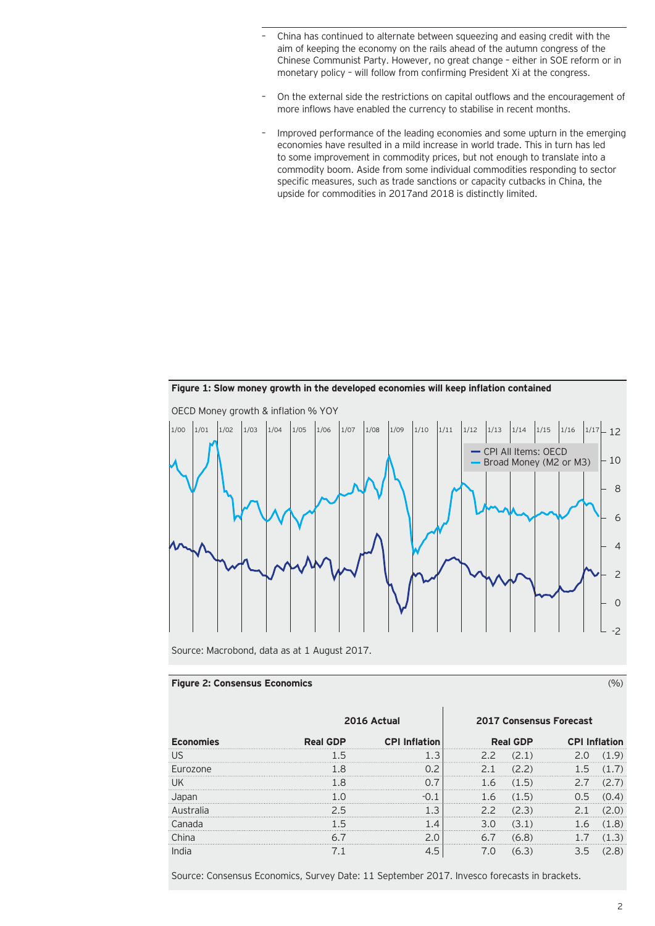- China has continued to alternate between squeezing and easing credit with the aim of keeping the economy on the rails ahead of the autumn congress of the Chinese Communist Party. However, no great change – either in SOE reform or in monetary policy – will follow from confirming President Xi at the congress.
- On the external side the restrictions on capital outflows and the encouragement of more inflows have enabled the currency to stabilise in recent months.
- Improved performance of the leading economies and some upturn in the emerging economies have resulted in a mild increase in world trade. This in turn has led to some improvement in commodity prices, but not enough to translate into a commodity boom. Aside from some individual commodities responding to sector specific measures, such as trade sanctions or capacity cutbacks in China, the upside for commodities in 2017and 2018 is distinctly limited.



**Figure 1: Slow money growth in the developed economies will keep inflation contained**

Source: Macrobond, data as at 1 August 2017.

### **Figure 2: Consensus Economics** (%)

|                  | 2016 Actual     |                      | <b>2017 Consensus Forecast</b> |                 |                   |      |
|------------------|-----------------|----------------------|--------------------------------|-----------------|-------------------|------|
| <b>Economies</b> | <b>Real GDP</b> | <b>CPI Inflation</b> |                                | <b>Real GDP</b> | <b>CPI Inflat</b> | tion |
| US               |                 |                      |                                |                 |                   |      |
| <b>Furozone</b>  |                 |                      |                                |                 | .                 |      |
| UK               |                 |                      |                                |                 |                   |      |
|                  |                 |                      |                                | 5               |                   |      |
|                  |                 |                      |                                |                 |                   |      |
|                  |                 |                      |                                |                 |                   |      |
|                  |                 |                      |                                |                 |                   |      |
| India            |                 |                      |                                |                 |                   |      |

Source: Consensus Economics, Survey Date: 11 September 2017. Invesco forecasts in brackets.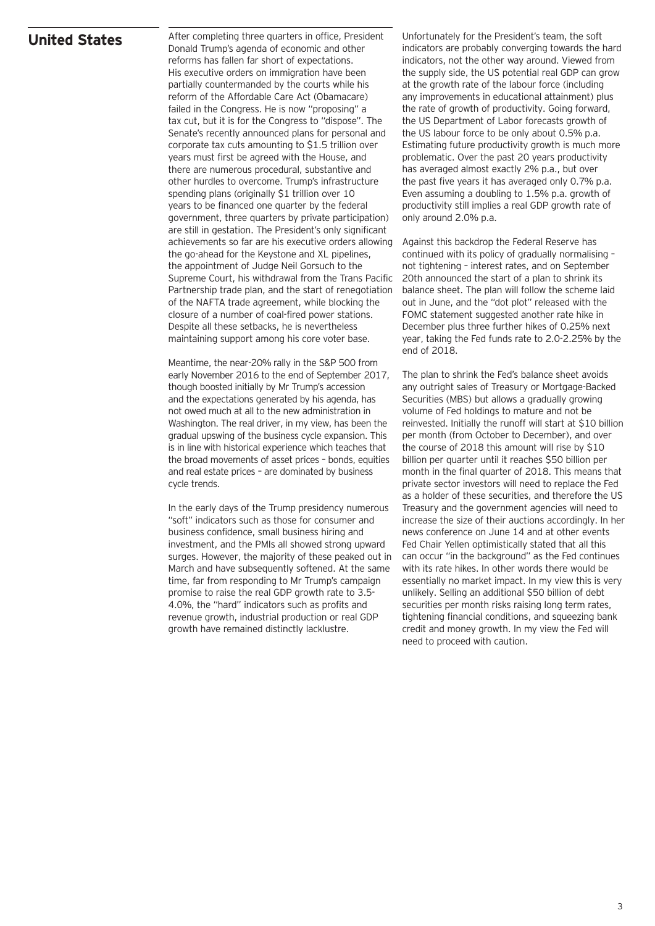### **United States**

After completing three quarters in office, President Donald Trump's agenda of economic and other reforms has fallen far short of expectations. His executive orders on immigration have been partially countermanded by the courts while his reform of the Affordable Care Act (Obamacare) failed in the Congress. He is now "proposing" a tax cut, but it is for the Congress to "dispose". The Senate's recently announced plans for personal and corporate tax cuts amounting to \$1.5 trillion over years must first be agreed with the House, and there are numerous procedural, substantive and other hurdles to overcome. Trump's infrastructure spending plans (originally \$1 trillion over 10 years to be financed one quarter by the federal government, three quarters by private participation) are still in gestation. The President's only significant achievements so far are his executive orders allowing the go-ahead for the Keystone and XL pipelines, the appointment of Judge Neil Gorsuch to the Supreme Court, his withdrawal from the Trans Pacific Partnership trade plan, and the start of renegotiation of the NAFTA trade agreement, while blocking the closure of a number of coal-fired power stations. Despite all these setbacks, he is nevertheless maintaining support among his core voter base.

Meantime, the near-20% rally in the S&P 500 from early November 2016 to the end of September 2017, though boosted initially by Mr Trump's accession and the expectations generated by his agenda, has not owed much at all to the new administration in Washington. The real driver, in my view, has been the gradual upswing of the business cycle expansion. This is in line with historical experience which teaches that the broad movements of asset prices – bonds, equities and real estate prices – are dominated by business cycle trends.

In the early days of the Trump presidency numerous "soft" indicators such as those for consumer and business confidence, small business hiring and investment, and the PMIs all showed strong upward surges. However, the majority of these peaked out in March and have subsequently softened. At the same time, far from responding to Mr Trump's campaign promise to raise the real GDP growth rate to 3.5- 4.0%, the "hard" indicators such as profits and revenue growth, industrial production or real GDP growth have remained distinctly lacklustre.

Unfortunately for the President's team, the soft indicators are probably converging towards the hard indicators, not the other way around. Viewed from the supply side, the US potential real GDP can grow at the growth rate of the labour force (including any improvements in educational attainment) plus the rate of growth of productivity. Going forward, the US Department of Labor forecasts growth of the US labour force to be only about 0.5% p.a. Estimating future productivity growth is much more problematic. Over the past 20 years productivity has averaged almost exactly 2% p.a., but over the past five years it has averaged only 0.7% p.a. Even assuming a doubling to 1.5% p.a. growth of productivity still implies a real GDP growth rate of only around 2.0% p.a.

Against this backdrop the Federal Reserve has continued with its policy of gradually normalising – not tightening – interest rates, and on September 20th announced the start of a plan to shrink its balance sheet. The plan will follow the scheme laid out in June, and the "dot plot" released with the FOMC statement suggested another rate hike in December plus three further hikes of 0.25% next year, taking the Fed funds rate to 2.0-2.25% by the end of 2018.

The plan to shrink the Fed's balance sheet avoids any outright sales of Treasury or Mortgage-Backed Securities (MBS) but allows a gradually growing volume of Fed holdings to mature and not be reinvested. Initially the runoff will start at \$10 billion per month (from October to December), and over the course of 2018 this amount will rise by \$10 billion per quarter until it reaches \$50 billion per month in the final quarter of 2018. This means that private sector investors will need to replace the Fed as a holder of these securities, and therefore the US Treasury and the government agencies will need to increase the size of their auctions accordingly. In her news conference on June 14 and at other events Fed Chair Yellen optimistically stated that all this can occur "in the background" as the Fed continues with its rate hikes. In other words there would be essentially no market impact. In my view this is very unlikely. Selling an additional \$50 billion of debt securities per month risks raising long term rates, tightening financial conditions, and squeezing bank credit and money growth. In my view the Fed will need to proceed with caution.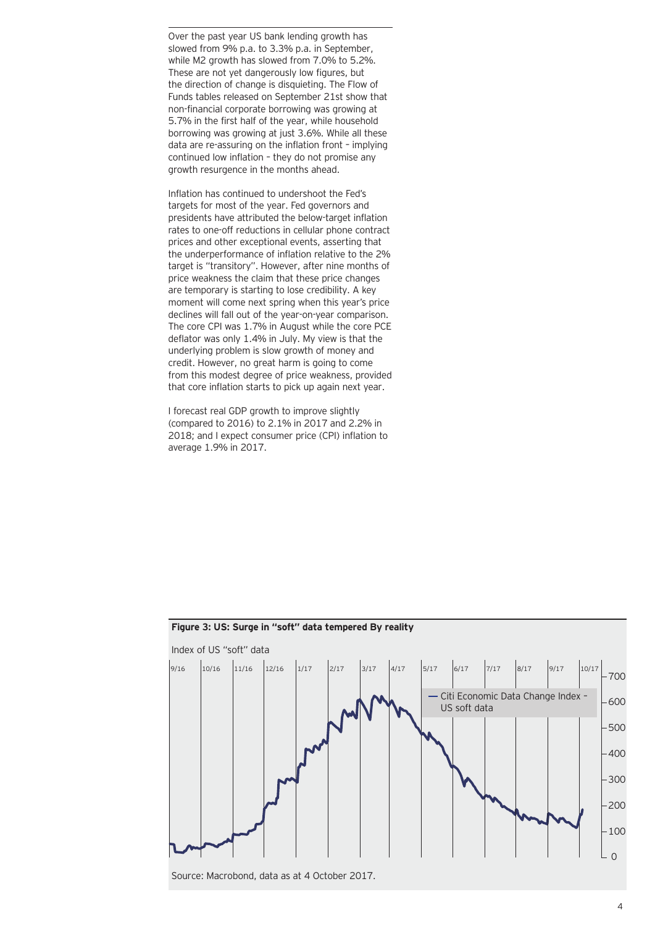Over the past year US bank lending growth has slowed from 9% p.a. to 3.3% p.a. in September, while M2 growth has slowed from 7.0% to 5.2%. These are not yet dangerously low figures, but the direction of change is disquieting. The Flow of Funds tables released on September 21st show that non-financial corporate borrowing was growing at 5.7% in the first half of the year, while household borrowing was growing at just 3.6%. While all these data are re-assuring on the inflation front – implying continued low inflation – they do not promise any growth resurgence in the months ahead.

Inflation has continued to undershoot the Fed's targets for most of the year. Fed governors and presidents have attributed the below-target inflation rates to one-off reductions in cellular phone contract prices and other exceptional events, asserting that the underperformance of inflation relative to the 2% target is "transitory". However, after nine months of price weakness the claim that these price changes are temporary is starting to lose credibility. A key moment will come next spring when this year's price declines will fall out of the year-on-year comparison. The core CPI was 1.7% in August while the core PCE deflator was only 1.4% in July. My view is that the underlying problem is slow growth of money and credit. However, no great harm is going to come from this modest degree of price weakness, provided that core inflation starts to pick up again next year.

I forecast real GDP growth to improve slightly (compared to 2016) to 2.1% in 2017 and 2.2% in 2018; and I expect consumer price (CPI) inflation to average 1.9% in 2017.



# **Figure 3: US: Surge in "soft" data tempered By reality**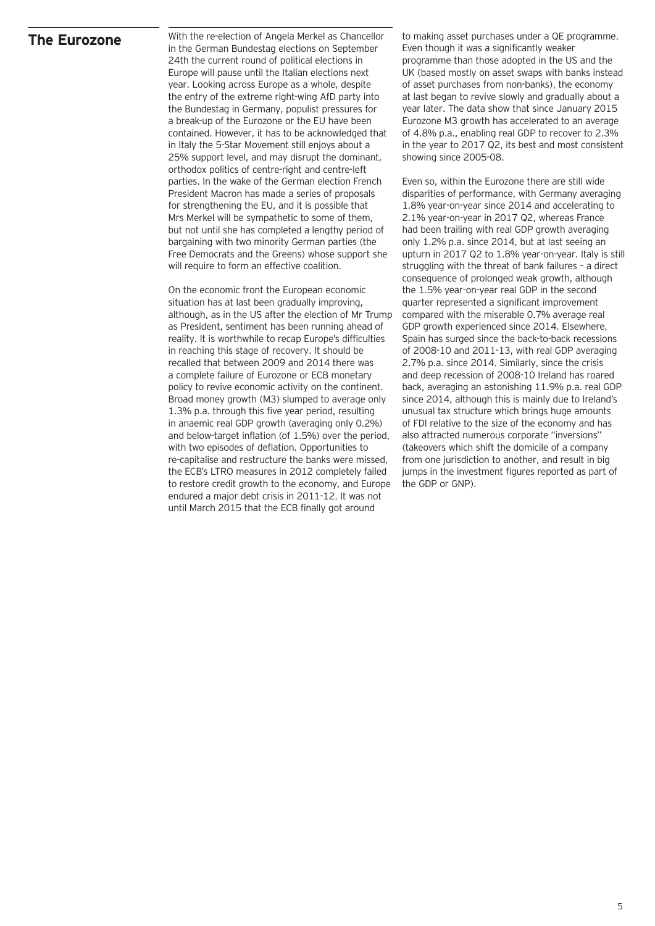### **The Eurozone**

With the re-election of Angela Merkel as Chancellor in the German Bundestag elections on September 24th the current round of political elections in Europe will pause until the Italian elections next year. Looking across Europe as a whole, despite the entry of the extreme right-wing AfD party into the Bundestag in Germany, populist pressures for a break-up of the Eurozone or the EU have been contained. However, it has to be acknowledged that in Italy the 5-Star Movement still enjoys about a 25% support level, and may disrupt the dominant, orthodox politics of centre-right and centre-left parties. In the wake of the German election French President Macron has made a series of proposals for strengthening the EU, and it is possible that Mrs Merkel will be sympathetic to some of them, but not until she has completed a lengthy period of bargaining with two minority German parties (the Free Democrats and the Greens) whose support she will require to form an effective coalition.

On the economic front the European economic situation has at last been gradually improving, although, as in the US after the election of Mr Trump as President, sentiment has been running ahead of reality. It is worthwhile to recap Europe's difficulties in reaching this stage of recovery. It should be recalled that between 2009 and 2014 there was a complete failure of Eurozone or ECB monetary policy to revive economic activity on the continent. Broad money growth (M3) slumped to average only 1.3% p.a. through this five year period, resulting in anaemic real GDP growth (averaging only 0.2%) and below-target inflation (of 1.5%) over the period, with two episodes of deflation. Opportunities to re-capitalise and restructure the banks were missed, the ECB's LTRO measures in 2012 completely failed to restore credit growth to the economy, and Europe endured a major debt crisis in 2011-12. It was not until March 2015 that the ECB finally got around

to making asset purchases under a QE programme. Even though it was a significantly weaker programme than those adopted in the US and the UK (based mostly on asset swaps with banks instead of asset purchases from non-banks), the economy at last began to revive slowly and gradually about a year later. The data show that since January 2015 Eurozone M3 growth has accelerated to an average of 4.8% p.a., enabling real GDP to recover to 2.3% in the year to 2017 Q2, its best and most consistent showing since 2005-08.

Even so, within the Eurozone there are still wide disparities of performance, with Germany averaging 1.8% year-on-year since 2014 and accelerating to 2.1% year-on-year in 2017 Q2, whereas France had been trailing with real GDP growth averaging only 1.2% p.a. since 2014, but at last seeing an upturn in 2017 Q2 to 1.8% year-on-year. Italy is still struggling with the threat of bank failures – a direct consequence of prolonged weak growth, although the 1.5% year-on-year real GDP in the second quarter represented a significant improvement compared with the miserable 0.7% average real GDP growth experienced since 2014. Elsewhere, Spain has surged since the back-to-back recessions of 2008-10 and 2011-13, with real GDP averaging 2.7% p.a. since 2014. Similarly, since the crisis and deep recession of 2008-10 Ireland has roared back, averaging an astonishing 11.9% p.a. real GDP since 2014, although this is mainly due to Ireland's unusual tax structure which brings huge amounts of FDI relative to the size of the economy and has also attracted numerous corporate "inversions" (takeovers which shift the domicile of a company from one jurisdiction to another, and result in big jumps in the investment figures reported as part of the GDP or GNP).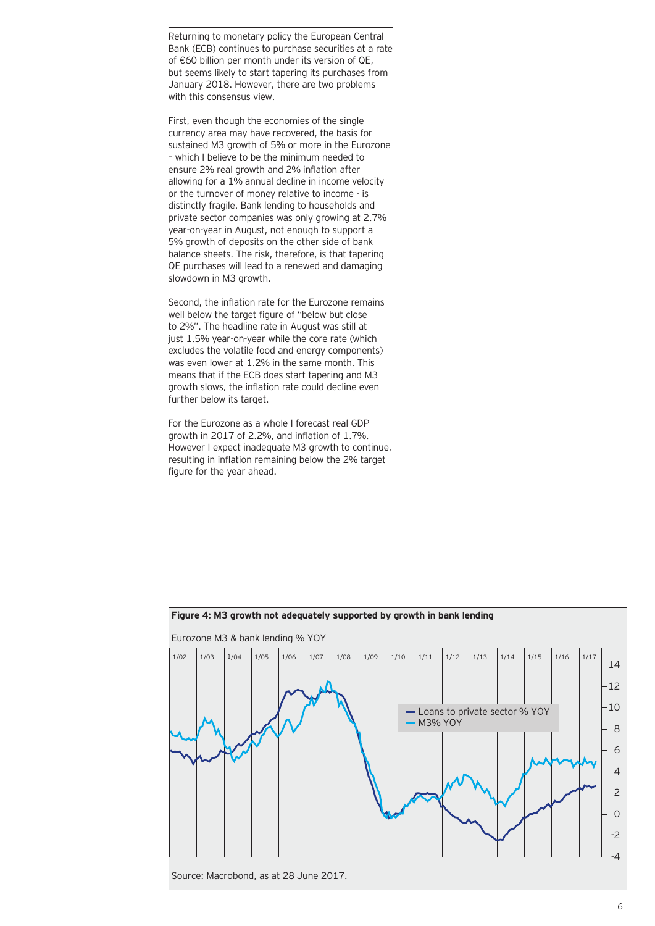Returning to monetary policy the European Central Bank (ECB) continues to purchase securities at a rate of €60 billion per month under its version of QE, but seems likely to start tapering its purchases from January 2018. However, there are two problems with this consensus view.

First, even though the economies of the single currency area may have recovered, the basis for sustained M3 growth of 5% or more in the Eurozone – which I believe to be the minimum needed to ensure 2% real growth and 2% inflation after allowing for a 1% annual decline in income velocity or the turnover of money relative to income - is distinctly fragile. Bank lending to households and private sector companies was only growing at 2.7% year-on-year in August, not enough to support a 5% growth of deposits on the other side of bank balance sheets. The risk, therefore, is that tapering QE purchases will lead to a renewed and damaging slowdown in M3 growth.

Second, the inflation rate for the Eurozone remains well below the target figure of "below but close to 2%". The headline rate in August was still at just 1.5% year-on-year while the core rate (which excludes the volatile food and energy components) was even lower at 1.2% in the same month. This means that if the ECB does start tapering and M3 growth slows, the inflation rate could decline even further below its target.

For the Eurozone as a whole I forecast real GDP growth in 2017 of 2.2%, and inflation of 1.7%. However I expect inadequate M3 growth to continue, resulting in inflation remaining below the 2% target figure for the year ahead.



# **Figure 4: M3 growth not adequately supported by growth in bank lending**

Source: Macrobond, as at 28 June 2017.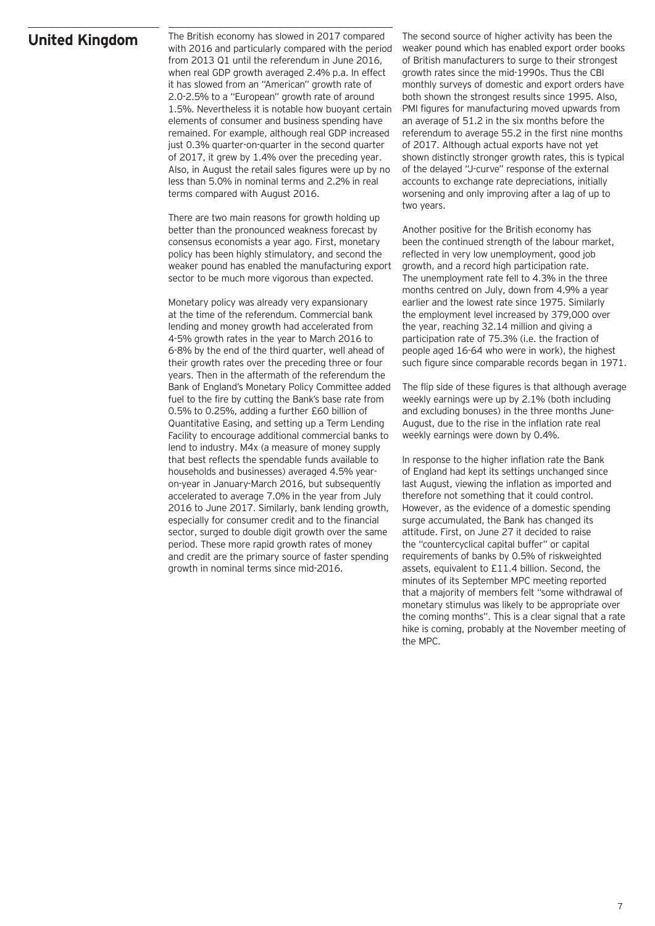### **United Kingdom**

The British economy has slowed in 2017 compared with 2016 and particularly compared with the period from 2013 Q1 until the referendum in June 2016, when real GDP growth averaged 2.4% p.a. In effect it has slowed from an "American" growth rate of 2.0-2.5% to a "European" growth rate of around 1.5%. Nevertheless it is notable how buoyant certain elements of consumer and business spending have remained. For example, although real GDP increased just 0.3% quarter-on-quarter in the second quarter of 2017, it grew by 1.4% over the preceding year. Also, in August the retail sales figures were up by no less than 5.0% in nominal terms and 2.2% in real terms compared with August 2016.

There are two main reasons for growth holding up better than the pronounced weakness forecast by consensus economists a year ago. First, monetary policy has been highly stimulatory, and second the weaker pound has enabled the manufacturing export sector to be much more vigorous than expected.

Monetary policy was already very expansionary at the time of the referendum. Commercial bank lending and money growth had accelerated from 4-5% growth rates in the year to March 2016 to 6-8% by the end of the third quarter, well ahead of their growth rates over the preceding three or four years. Then in the aftermath of the referendum the Bank of England's Monetary Policy Committee added fuel to the fire by cutting the Bank's base rate from 0.5% to 0.25%, adding a further £60 billion of Quantitative Easing, and setting up a Term Lending Facility to encourage additional commercial banks to lend to industry. M4x (a measure of money supply that best reflects the spendable funds available to households and businesses) averaged 4.5% yearon-year in January-March 2016, but subsequently accelerated to average 7.0% in the year from July 2016 to June 2017. Similarly, bank lending growth, especially for consumer credit and to the financial sector, surged to double digit growth over the same period. These more rapid growth rates of money and credit are the primary source of faster spending growth in nominal terms since mid-2016.

The second source of higher activity has been the weaker pound which has enabled export order books of British manufacturers to surge to their strongest growth rates since the mid-1990s. Thus the CBI monthly surveys of domestic and export orders have both shown the strongest results since 1995. Also, PMI figures for manufacturing moved upwards from an average of 51.2 in the six months before the referendum to average 55.2 in the first nine months of 2017. Although actual exports have not yet shown distinctly stronger growth rates, this is typical of the delayed "J-curve" response of the external accounts to exchange rate depreciations, initially worsening and only improving after a lag of up to two years.

Another positive for the British economy has been the continued strength of the labour market, reflected in very low unemployment, good job growth, and a record high participation rate. The unemployment rate fell to 4.3% in the three months centred on July, down from 4.9% a year earlier and the lowest rate since 1975. Similarly the employment level increased by 379,000 over the year, reaching 32.14 million and giving a participation rate of 75.3% (i.e. the fraction of people aged 16-64 who were in work), the highest such figure since comparable records began in 1971.

The flip side of these figures is that although average weekly earnings were up by 2.1% (both including and excluding bonuses) in the three months June-August, due to the rise in the inflation rate real weekly earnings were down by 0.4%.

In response to the higher inflation rate the Bank of England had kept its settings unchanged since last August, viewing the inflation as imported and therefore not something that it could control. However, as the evidence of a domestic spending surge accumulated, the Bank has changed its attitude. First, on June 27 it decided to raise the "countercyclical capital buffer" or capital requirements of banks by 0.5% of riskweighted assets, equivalent to £11.4 billion. Second, the minutes of its September MPC meeting reported that a majority of members felt "some withdrawal of monetary stimulus was likely to be appropriate over the coming months". This is a clear signal that a rate hike is coming, probably at the November meeting of the MPC.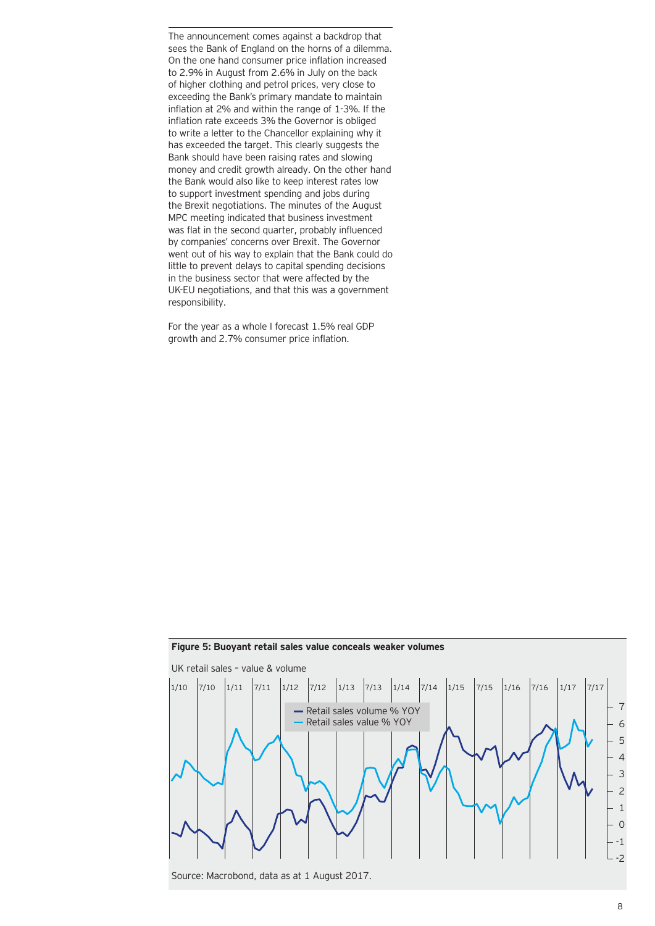The announcement comes against a backdrop that sees the Bank of England on the horns of a dilemma. On the one hand consumer price inflation increased to 2.9% in August from 2.6% in July on the back of higher clothing and petrol prices, very close to exceeding the Bank's primary mandate to maintain inflation at 2% and within the range of 1-3%. If the inflation rate exceeds 3% the Governor is obliged to write a letter to the Chancellor explaining why it has exceeded the target. This clearly suggests the Bank should have been raising rates and slowing money and credit growth already. On the other hand the Bank would also like to keep interest rates low to support investment spending and jobs during the Brexit negotiations. The minutes of the August MPC meeting indicated that business investment was flat in the second quarter, probably influenced by companies' concerns over Brexit. The Governor went out of his way to explain that the Bank could do little to prevent delays to capital spending decisions in the business sector that were affected by the UK-EU negotiations, and that this was a government responsibility.

For the year as a whole I forecast 1.5% real GDP growth and 2.7% consumer price inflation.



#### **Figure 5: Buoyant retail sales value conceals weaker volumes**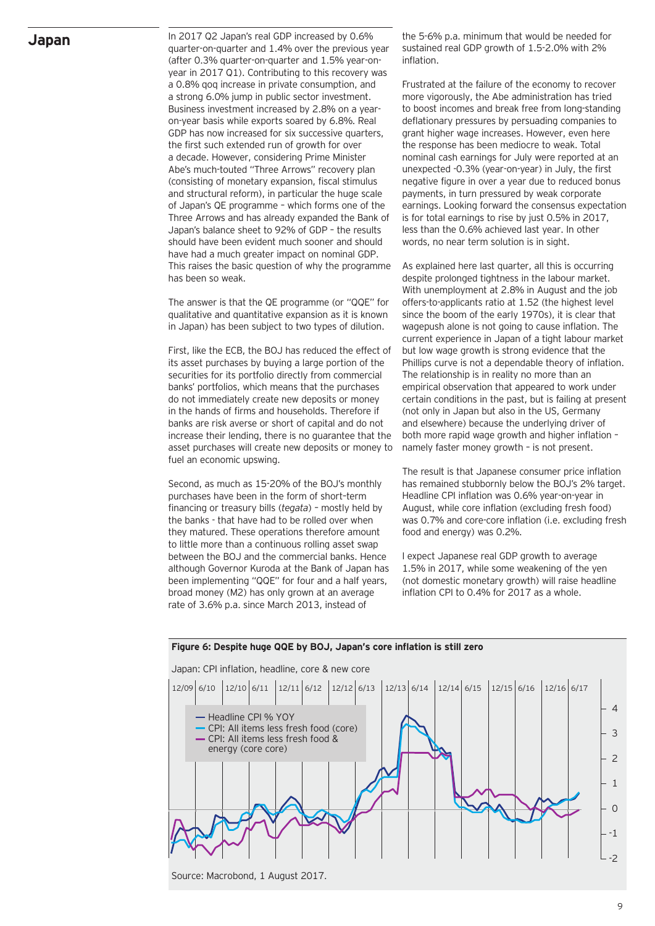### **Japan**

In 2017 Q2 Japan's real GDP increased by 0.6% quarter-on-quarter and 1.4% over the previous year (after 0.3% quarter-on-quarter and 1.5% year-onyear in 2017 Q1). Contributing to this recovery was a 0.8% qoq increase in private consumption, and a strong 6.0% jump in public sector investment. Business investment increased by 2.8% on a yearon-year basis while exports soared by 6.8%. Real GDP has now increased for six successive quarters, the first such extended run of growth for over a decade. However, considering Prime Minister Abe's much-touted "Three Arrows" recovery plan (consisting of monetary expansion, fiscal stimulus and structural reform), in particular the huge scale of Japan's QE programme – which forms one of the Three Arrows and has already expanded the Bank of Japan's balance sheet to 92% of GDP – the results should have been evident much sooner and should have had a much greater impact on nominal GDP. This raises the basic question of why the programme has been so weak.

The answer is that the QE programme (or "QQE" for qualitative and quantitative expansion as it is known in Japan) has been subject to two types of dilution.

First, like the ECB, the BOJ has reduced the effect of its asset purchases by buying a large portion of the securities for its portfolio directly from commercial banks' portfolios, which means that the purchases do not immediately create new deposits or money in the hands of firms and households. Therefore if banks are risk averse or short of capital and do not increase their lending, there is no guarantee that the asset purchases will create new deposits or money to fuel an economic upswing.

Second, as much as 15-20% of the BOJ's monthly purchases have been in the form of short–term financing or treasury bills (*tegata*) – mostly held by the banks - that have had to be rolled over when they matured. These operations therefore amount to little more than a continuous rolling asset swap between the BOJ and the commercial banks. Hence although Governor Kuroda at the Bank of Japan has been implementing "QQE" for four and a half years, broad money (M2) has only grown at an average rate of 3.6% p.a. since March 2013, instead of

the 5-6% p.a. minimum that would be needed for sustained real GDP growth of 1.5-2.0% with 2% inflation.

Frustrated at the failure of the economy to recover more vigorously, the Abe administration has tried to boost incomes and break free from long-standing deflationary pressures by persuading companies to grant higher wage increases. However, even here the response has been mediocre to weak. Total nominal cash earnings for July were reported at an unexpected -0.3% (year-on-year) in July, the first negative figure in over a year due to reduced bonus payments, in turn pressured by weak corporate earnings. Looking forward the consensus expectation is for total earnings to rise by just 0.5% in 2017, less than the 0.6% achieved last year. In other words, no near term solution is in sight.

As explained here last quarter, all this is occurring despite prolonged tightness in the labour market. With unemployment at 2.8% in August and the job offers-to-applicants ratio at 1.52 (the highest level since the boom of the early 1970s), it is clear that wagepush alone is not going to cause inflation. The current experience in Japan of a tight labour market but low wage growth is strong evidence that the Phillips curve is not a dependable theory of inflation. The relationship is in reality no more than an empirical observation that appeared to work under certain conditions in the past, but is failing at present (not only in Japan but also in the US, Germany and elsewhere) because the underlying driver of both more rapid wage growth and higher inflation – namely faster money growth – is not present.

The result is that Japanese consumer price inflation has remained stubbornly below the BOJ's 2% target. Headline CPI inflation was 0.6% year-on-year in August, while core inflation (excluding fresh food) was 0.7% and core-core inflation (i.e. excluding fresh food and energy) was 0.2%.

I expect Japanese real GDP growth to average 1.5% in 2017, while some weakening of the yen (not domestic monetary growth) will raise headline inflation CPI to 0.4% for 2017 as a whole.



Source: Macrobond, 1 August 2017.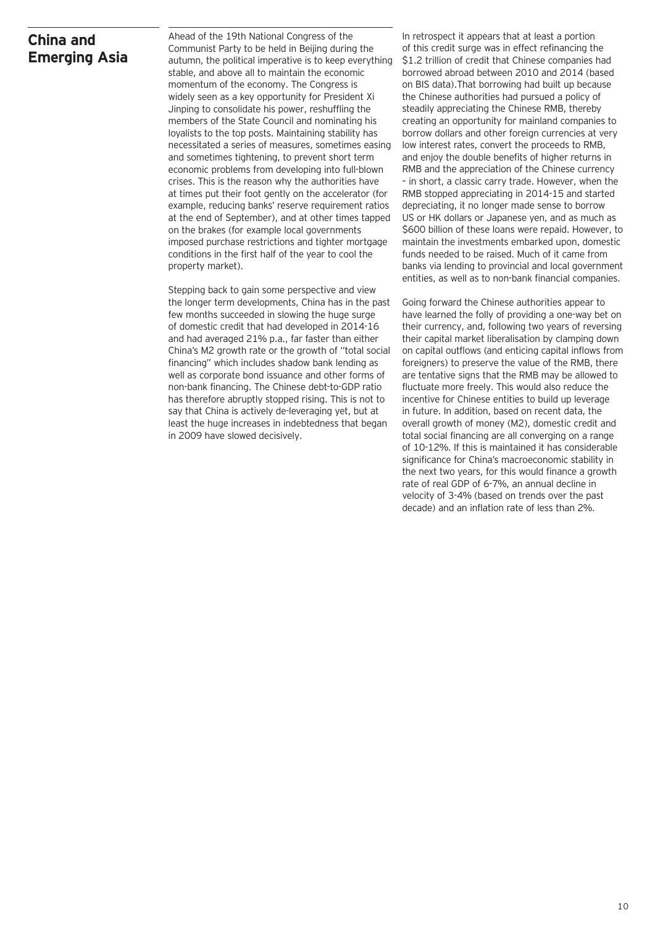# **China and Emerging Asia**

Ahead of the 19th National Congress of the Communist Party to be held in Beijing during the autumn, the political imperative is to keep everything stable, and above all to maintain the economic momentum of the economy. The Congress is widely seen as a key opportunity for President Xi Jinping to consolidate his power, reshuffling the members of the State Council and nominating his loyalists to the top posts. Maintaining stability has necessitated a series of measures, sometimes easing and sometimes tightening, to prevent short term economic problems from developing into full-blown crises. This is the reason why the authorities have at times put their foot gently on the accelerator (for example, reducing banks' reserve requirement ratios at the end of September), and at other times tapped on the brakes (for example local governments imposed purchase restrictions and tighter mortgage conditions in the first half of the year to cool the property market).

Stepping back to gain some perspective and view the longer term developments, China has in the past few months succeeded in slowing the huge surge of domestic credit that had developed in 2014-16 and had averaged 21% p.a., far faster than either China's M2 growth rate or the growth of "total social financing" which includes shadow bank lending as well as corporate bond issuance and other forms of non-bank financing. The Chinese debt-to-GDP ratio has therefore abruptly stopped rising. This is not to say that China is actively de-leveraging yet, but at least the huge increases in indebtedness that began in 2009 have slowed decisively.

In retrospect it appears that at least a portion of this credit surge was in effect refinancing the \$1.2 trillion of credit that Chinese companies had borrowed abroad between 2010 and 2014 (based on BIS data).That borrowing had built up because the Chinese authorities had pursued a policy of steadily appreciating the Chinese RMB, thereby creating an opportunity for mainland companies to borrow dollars and other foreign currencies at very low interest rates, convert the proceeds to RMB, and enjoy the double benefits of higher returns in RMB and the appreciation of the Chinese currency – in short, a classic carry trade. However, when the RMB stopped appreciating in 2014-15 and started depreciating, it no longer made sense to borrow US or HK dollars or Japanese yen, and as much as \$600 billion of these loans were repaid. However, to maintain the investments embarked upon, domestic funds needed to be raised. Much of it came from banks via lending to provincial and local government entities, as well as to non-bank financial companies.

Going forward the Chinese authorities appear to have learned the folly of providing a one-way bet on their currency, and, following two years of reversing their capital market liberalisation by clamping down on capital outflows (and enticing capital inflows from foreigners) to preserve the value of the RMB, there are tentative signs that the RMB may be allowed to fluctuate more freely. This would also reduce the incentive for Chinese entities to build up leverage in future. In addition, based on recent data, the overall growth of money (M2), domestic credit and total social financing are all converging on a range of 10-12%. If this is maintained it has considerable significance for China's macroeconomic stability in the next two years, for this would finance a growth rate of real GDP of 6-7%, an annual decline in velocity of 3-4% (based on trends over the past decade) and an inflation rate of less than 2%.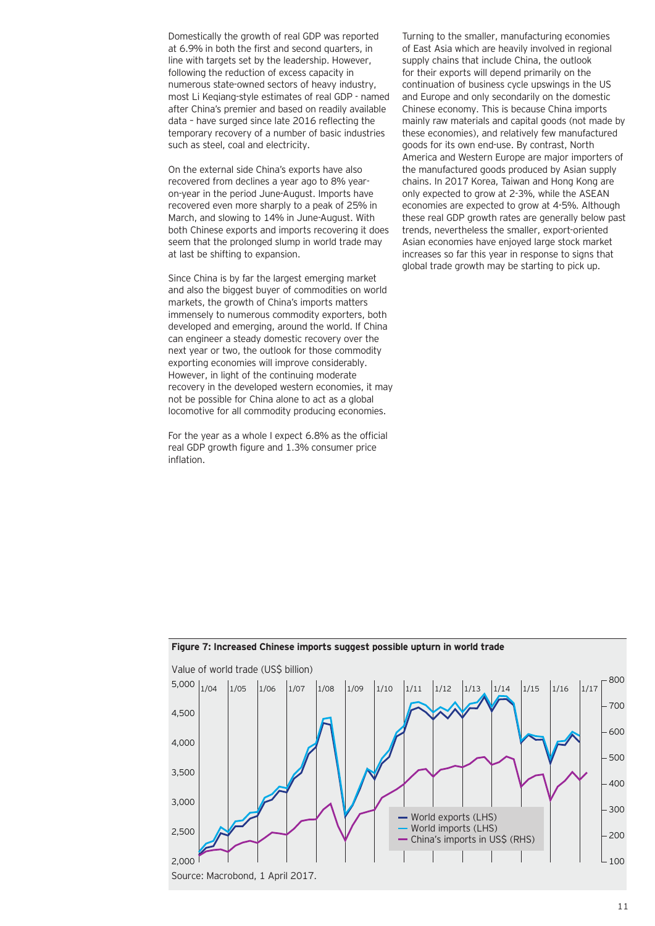Domestically the growth of real GDP was reported at 6.9% in both the first and second quarters, in line with targets set by the leadership. However, following the reduction of excess capacity in numerous state-owned sectors of heavy industry, most Li Keqiang-style estimates of real GDP - named after China's premier and based on readily available data – have surged since late 2016 reflecting the temporary recovery of a number of basic industries such as steel, coal and electricity.

On the external side China's exports have also recovered from declines a year ago to 8% yearon-year in the period June-August. Imports have recovered even more sharply to a peak of 25% in March, and slowing to 14% in June-August. With both Chinese exports and imports recovering it does seem that the prolonged slump in world trade may at last be shifting to expansion.

Since China is by far the largest emerging market and also the biggest buyer of commodities on world markets, the growth of China's imports matters immensely to numerous commodity exporters, both developed and emerging, around the world. If China can engineer a steady domestic recovery over the next year or two, the outlook for those commodity exporting economies will improve considerably. However, in light of the continuing moderate recovery in the developed western economies, it may not be possible for China alone to act as a global locomotive for all commodity producing economies.

For the year as a whole I expect 6.8% as the official real GDP growth figure and 1.3% consumer price inflation.

Turning to the smaller, manufacturing economies of East Asia which are heavily involved in regional supply chains that include China, the outlook for their exports will depend primarily on the continuation of business cycle upswings in the US and Europe and only secondarily on the domestic Chinese economy. This is because China imports mainly raw materials and capital goods (not made by these economies), and relatively few manufactured goods for its own end-use. By contrast, North America and Western Europe are major importers of the manufactured goods produced by Asian supply chains. In 2017 Korea, Taiwan and Hong Kong are only expected to grow at 2-3%, while the ASEAN economies are expected to grow at 4-5%. Although these real GDP growth rates are generally below past trends, nevertheless the smaller, export-oriented Asian economies have enjoyed large stock market increases so far this year in response to signs that global trade growth may be starting to pick up.



#### **Figure 7: Increased Chinese imports suggest possible upturn in world trade**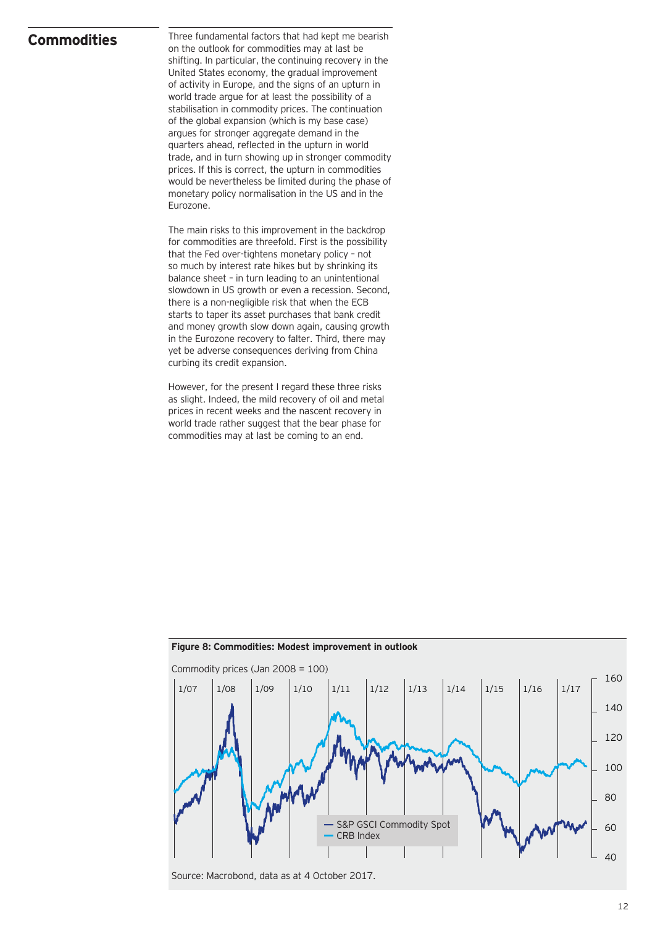### **Commodities**

Three fundamental factors that had kept me bearish on the outlook for commodities may at last be shifting. In particular, the continuing recovery in the United States economy, the gradual improvement of activity in Europe, and the signs of an upturn in world trade argue for at least the possibility of a stabilisation in commodity prices. The continuation of the global expansion (which is my base case) argues for stronger aggregate demand in the quarters ahead, reflected in the upturn in world trade, and in turn showing up in stronger commodity prices. If this is correct, the upturn in commodities would be nevertheless be limited during the phase of monetary policy normalisation in the US and in the Eurozone.

The main risks to this improvement in the backdrop for commodities are threefold. First is the possibility that the Fed over-tightens monetary policy – not so much by interest rate hikes but by shrinking its balance sheet – in turn leading to an unintentional slowdown in US growth or even a recession. Second, there is a non-negligible risk that when the ECB starts to taper its asset purchases that bank credit and money growth slow down again, causing growth in the Eurozone recovery to falter. Third, there may yet be adverse consequences deriving from China curbing its credit expansion.

However, for the present I regard these three risks as slight. Indeed, the mild recovery of oil and metal prices in recent weeks and the nascent recovery in world trade rather suggest that the bear phase for commodities may at last be coming to an end.



#### **Figure 8: Commodities: Modest improvement in outlook**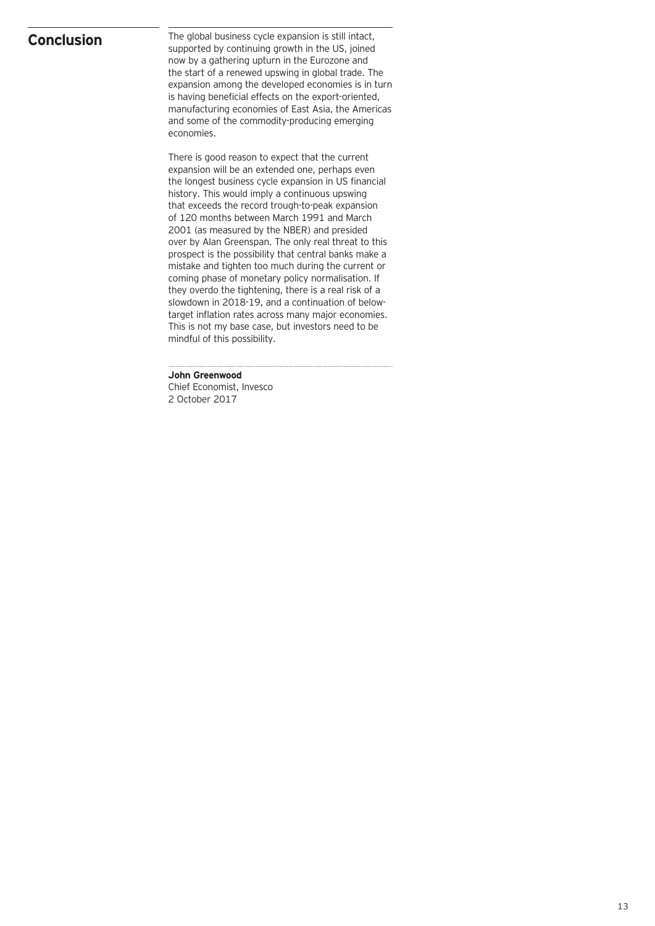### **Conclusion**

The global business cycle expansion is still intact, supported by continuing growth in the US, joined now by a gathering upturn in the Eurozone and the start of a renewed upswing in global trade. The expansion among the developed economies is in turn is having beneficial effects on the export-oriented, manufacturing economies of East Asia, the Americas and some of the commodity-producing emerging economies.

There is good reason to expect that the current expansion will be an extended one, perhaps even the longest business cycle expansion in US financial history. This would imply a continuous upswing that exceeds the record trough-to-peak expansion of 120 months between March 1991 and March 2001 (as measured by the NBER) and presided over by Alan Greenspan. The only real threat to this prospect is the possibility that central banks make a mistake and tighten too much during the current or coming phase of monetary policy normalisation. If they overdo the tightening, there is a real risk of a slowdown in 2018-19, and a continuation of belowtarget inflation rates across many major economies. This is not my base case, but investors need to be mindful of this possibility.

**John Greenwood**

Chief Economist, Invesco 2 October 2017